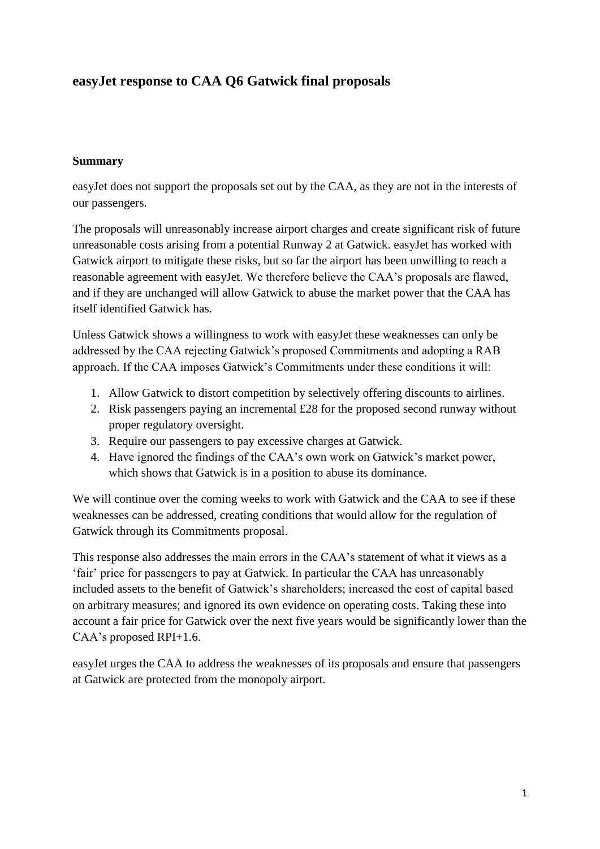# **easyJet response to CAA Q6 Gatwick final proposals**

### **Summary**

easyJet does not support the proposals set out by the CAA, as they are not in the interests of our passengers.

The proposals will unreasonably increase airport charges and create significant risk of future unreasonable costs arising from a potential Runway 2 at Gatwick. easyJet has worked with Gatwick airport to mitigate these risks, but so far the airport has been unwilling to reach a reasonable agreement with easyJet. We therefore believe the CAA's proposals are flawed, and if they are unchanged will allow Gatwick to abuse the market power that the CAA has itself identified Gatwick has.

Unless Gatwick shows a willingness to work with easyJet these weaknesses can only be addressed by the CAA rejecting Gatwick's proposed Commitments and adopting a RAB approach. If the CAA imposes Gatwick's Commitments under these conditions it will:

- 1. Allow Gatwick to distort competition by selectively offering discounts to airlines.
- 2. Risk passengers paying an incremental £28 for the proposed second runway without proper regulatory oversight.
- 3. Require our passengers to pay excessive charges at Gatwick.
- 4. Have ignored the findings of the CAA's own work on Gatwick's market power, which shows that Gatwick is in a position to abuse its dominance.

We will continue over the coming weeks to work with Gatwick and the CAA to see if these weaknesses can be addressed, creating conditions that would allow for the regulation of Gatwick through its Commitments proposal.

This response also addresses the main errors in the CAA's statement of what it views as a 'fair' price for passengers to pay at Gatwick. In particular the CAA has unreasonably included assets to the benefit of Gatwick's shareholders; increased the cost of capital based on arbitrary measures; and ignored its own evidence on operating costs. Taking these into account a fair price for Gatwick over the next five years would be significantly lower than the CAA's proposed RPI+1.6.

easyJet urges the CAA to address the weaknesses of its proposals and ensure that passengers at Gatwick are protected from the monopoly airport.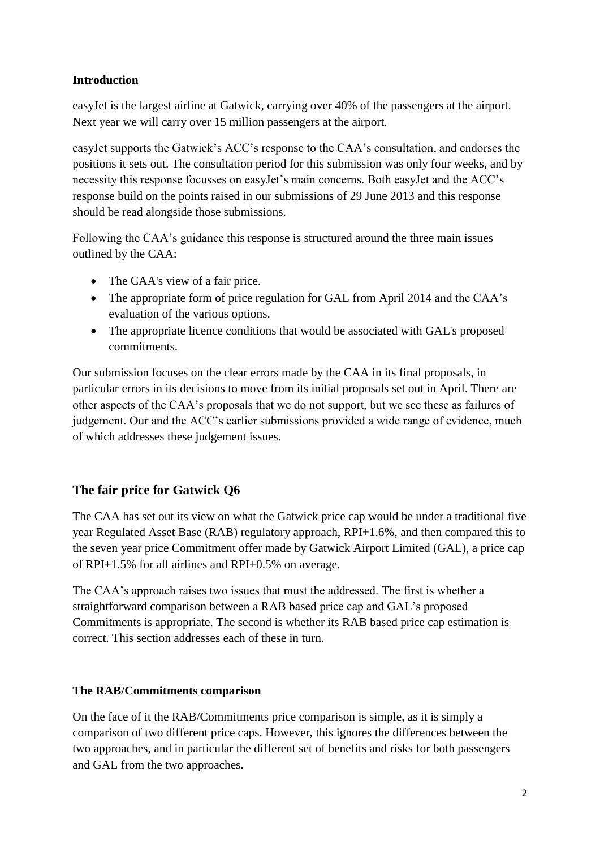### **Introduction**

easyJet is the largest airline at Gatwick, carrying over 40% of the passengers at the airport. Next year we will carry over 15 million passengers at the airport.

easyJet supports the Gatwick's ACC's response to the CAA's consultation, and endorses the positions it sets out. The consultation period for this submission was only four weeks, and by necessity this response focusses on easyJet's main concerns. Both easyJet and the ACC's response build on the points raised in our submissions of 29 June 2013 and this response should be read alongside those submissions.

Following the CAA's guidance this response is structured around the three main issues outlined by the CAA:

- The CAA's view of a fair price.
- The appropriate form of price regulation for GAL from April 2014 and the CAA's evaluation of the various options.
- The appropriate licence conditions that would be associated with GAL's proposed commitments.

Our submission focuses on the clear errors made by the CAA in its final proposals, in particular errors in its decisions to move from its initial proposals set out in April. There are other aspects of the CAA's proposals that we do not support, but we see these as failures of judgement. Our and the ACC's earlier submissions provided a wide range of evidence, much of which addresses these judgement issues.

## **The fair price for Gatwick Q6**

The CAA has set out its view on what the Gatwick price cap would be under a traditional five year Regulated Asset Base (RAB) regulatory approach, RPI+1.6%, and then compared this to the seven year price Commitment offer made by Gatwick Airport Limited (GAL), a price cap of RPI+1.5% for all airlines and RPI+0.5% on average.

The CAA's approach raises two issues that must the addressed. The first is whether a straightforward comparison between a RAB based price cap and GAL's proposed Commitments is appropriate. The second is whether its RAB based price cap estimation is correct. This section addresses each of these in turn.

### **The RAB/Commitments comparison**

On the face of it the RAB/Commitments price comparison is simple, as it is simply a comparison of two different price caps. However, this ignores the differences between the two approaches, and in particular the different set of benefits and risks for both passengers and GAL from the two approaches.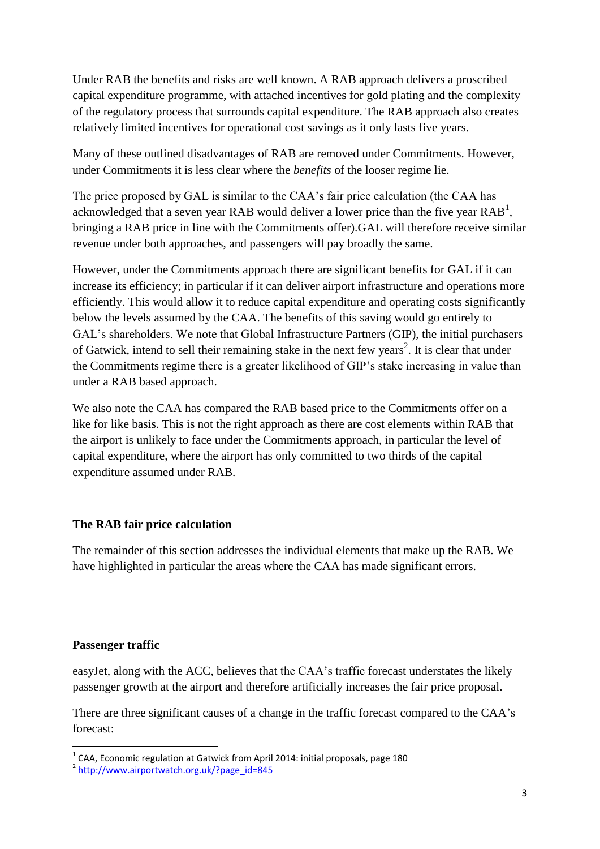Under RAB the benefits and risks are well known. A RAB approach delivers a proscribed capital expenditure programme, with attached incentives for gold plating and the complexity of the regulatory process that surrounds capital expenditure. The RAB approach also creates relatively limited incentives for operational cost savings as it only lasts five years.

Many of these outlined disadvantages of RAB are removed under Commitments. However, under Commitments it is less clear where the *benefits* of the looser regime lie.

The price proposed by GAL is similar to the CAA's fair price calculation (the CAA has acknowledged that a seven year RAB would deliver a lower price than the five year  $RAB<sup>1</sup>$ , bringing a RAB price in line with the Commitments offer).GAL will therefore receive similar revenue under both approaches, and passengers will pay broadly the same.

However, under the Commitments approach there are significant benefits for GAL if it can increase its efficiency; in particular if it can deliver airport infrastructure and operations more efficiently. This would allow it to reduce capital expenditure and operating costs significantly below the levels assumed by the CAA. The benefits of this saving would go entirely to GAL's shareholders. We note that Global Infrastructure Partners (GIP), the initial purchasers of Gatwick, intend to sell their remaining stake in the next few years<sup>2</sup>. It is clear that under the Commitments regime there is a greater likelihood of GIP's stake increasing in value than under a RAB based approach.

We also note the CAA has compared the RAB based price to the Commitments offer on a like for like basis. This is not the right approach as there are cost elements within RAB that the airport is unlikely to face under the Commitments approach, in particular the level of capital expenditure, where the airport has only committed to two thirds of the capital expenditure assumed under RAB.

### **The RAB fair price calculation**

The remainder of this section addresses the individual elements that make up the RAB. We have highlighted in particular the areas where the CAA has made significant errors.

### **Passenger traffic**

easyJet, along with the ACC, believes that the CAA's traffic forecast understates the likely passenger growth at the airport and therefore artificially increases the fair price proposal.

There are three significant causes of a change in the traffic forecast compared to the CAA's forecast:

 1 CAA, Economic regulation at Gatwick from April 2014: initial proposals, page 180

<sup>&</sup>lt;sup>2</sup> [http://www.airportwatch.org.uk/?page\\_id=845](http://www.airportwatch.org.uk/?page_id=845)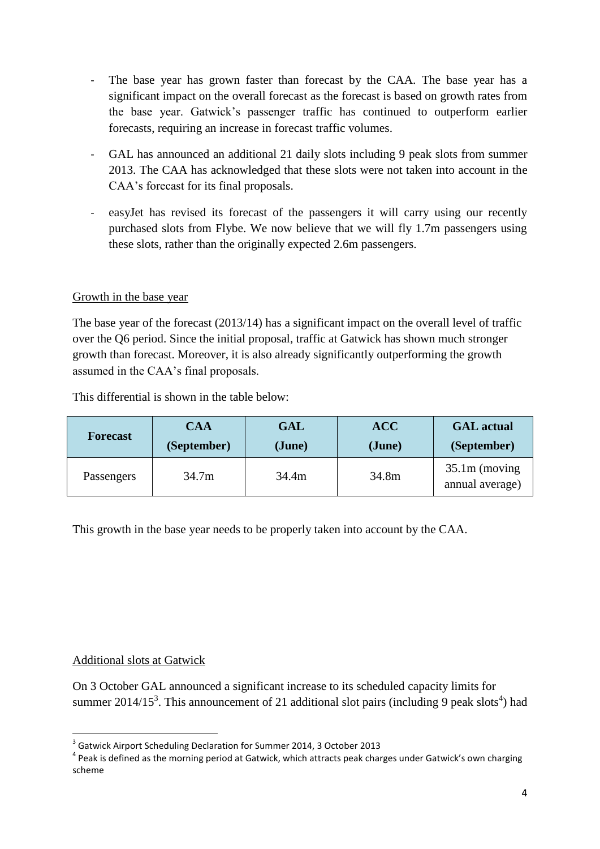- The base year has grown faster than forecast by the CAA. The base year has a significant impact on the overall forecast as the forecast is based on growth rates from the base year. Gatwick's passenger traffic has continued to outperform earlier forecasts, requiring an increase in forecast traffic volumes.
- GAL has announced an additional 21 daily slots including 9 peak slots from summer 2013. The CAA has acknowledged that these slots were not taken into account in the CAA's forecast for its final proposals.
- easyJet has revised its forecast of the passengers it will carry using our recently purchased slots from Flybe. We now believe that we will fly 1.7m passengers using these slots, rather than the originally expected 2.6m passengers.

### Growth in the base year

The base year of the forecast (2013/14) has a significant impact on the overall level of traffic over the Q6 period. Since the initial proposal, traffic at Gatwick has shown much stronger growth than forecast. Moreover, it is also already significantly outperforming the growth assumed in the CAA's final proposals.

This differential is shown in the table below:

| <b>Forecast</b> | <b>CAA</b>  | <b>GAL</b> | <b>ACC</b> | <b>GAL</b> actual                  |
|-----------------|-------------|------------|------------|------------------------------------|
|                 | (September) | (June)     | (June)     | (September)                        |
| Passengers      | 34.7m       | 34.4m      | 34.8m      | $35.1m$ (moving<br>annual average) |

This growth in the base year needs to be properly taken into account by the CAA.

### Additional slots at Gatwick

**.** 

On 3 October GAL announced a significant increase to its scheduled capacity limits for summer 2014/15<sup>3</sup>. This announcement of 21 additional slot pairs (including 9 peak slots<sup>4</sup>) had

<sup>&</sup>lt;sup>3</sup> Gatwick Airport Scheduling Declaration for Summer 2014, 3 October 2013

<sup>&</sup>lt;sup>4</sup> Peak is defined as the morning period at Gatwick, which attracts peak charges under Gatwick's own charging scheme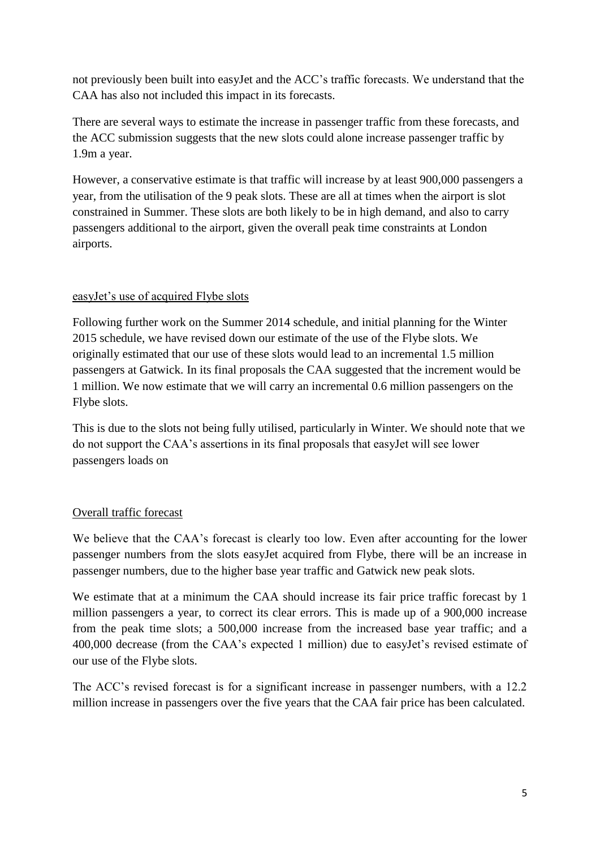not previously been built into easyJet and the ACC's traffic forecasts. We understand that the CAA has also not included this impact in its forecasts.

There are several ways to estimate the increase in passenger traffic from these forecasts, and the ACC submission suggests that the new slots could alone increase passenger traffic by 1.9m a year.

However, a conservative estimate is that traffic will increase by at least 900,000 passengers a year, from the utilisation of the 9 peak slots. These are all at times when the airport is slot constrained in Summer. These slots are both likely to be in high demand, and also to carry passengers additional to the airport, given the overall peak time constraints at London airports.

### easyJet's use of acquired Flybe slots

Following further work on the Summer 2014 schedule, and initial planning for the Winter 2015 schedule, we have revised down our estimate of the use of the Flybe slots. We originally estimated that our use of these slots would lead to an incremental 1.5 million passengers at Gatwick. In its final proposals the CAA suggested that the increment would be 1 million. We now estimate that we will carry an incremental 0.6 million passengers on the Flybe slots.

This is due to the slots not being fully utilised, particularly in Winter. We should note that we do not support the CAA's assertions in its final proposals that easyJet will see lower passengers loads on

### Overall traffic forecast

We believe that the CAA's forecast is clearly too low. Even after accounting for the lower passenger numbers from the slots easyJet acquired from Flybe, there will be an increase in passenger numbers, due to the higher base year traffic and Gatwick new peak slots.

We estimate that at a minimum the CAA should increase its fair price traffic forecast by 1 million passengers a year, to correct its clear errors. This is made up of a 900,000 increase from the peak time slots; a 500,000 increase from the increased base year traffic; and a 400,000 decrease (from the CAA's expected 1 million) due to easyJet's revised estimate of our use of the Flybe slots.

The ACC's revised forecast is for a significant increase in passenger numbers, with a 12.2 million increase in passengers over the five years that the CAA fair price has been calculated.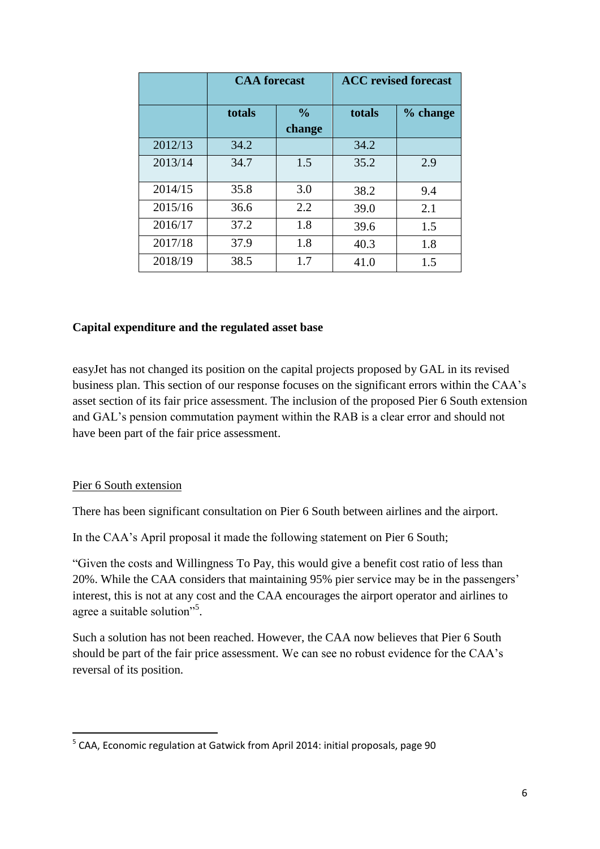|         | <b>CAA</b> forecast |               | <b>ACC</b> revised forecast |          |
|---------|---------------------|---------------|-----------------------------|----------|
|         | totals              | $\frac{0}{0}$ | totals                      | % change |
|         |                     | change        |                             |          |
| 2012/13 | 34.2                |               | 34.2                        |          |
| 2013/14 | 34.7                | 1.5           | 35.2                        | 2.9      |
| 2014/15 | 35.8                | 3.0           | 38.2                        | 9.4      |
| 2015/16 | 36.6                | 2.2           | 39.0                        | 2.1      |
| 2016/17 | 37.2                | 1.8           | 39.6                        | 1.5      |
| 2017/18 | 37.9                | 1.8           | 40.3                        | 1.8      |
| 2018/19 | 38.5                | 1.7           | 41.0                        | 1.5      |

### **Capital expenditure and the regulated asset base**

easyJet has not changed its position on the capital projects proposed by GAL in its revised business plan. This section of our response focuses on the significant errors within the CAA's asset section of its fair price assessment. The inclusion of the proposed Pier 6 South extension and GAL's pension commutation payment within the RAB is a clear error and should not have been part of the fair price assessment.

#### Pier 6 South extension

**.** 

There has been significant consultation on Pier 6 South between airlines and the airport.

In the CAA's April proposal it made the following statement on Pier 6 South;

"Given the costs and Willingness To Pay, this would give a benefit cost ratio of less than 20%. While the CAA considers that maintaining 95% pier service may be in the passengers' interest, this is not at any cost and the CAA encourages the airport operator and airlines to agree a suitable solution"<sup>5</sup>.

Such a solution has not been reached. However, the CAA now believes that Pier 6 South should be part of the fair price assessment. We can see no robust evidence for the CAA's reversal of its position.

<sup>&</sup>lt;sup>5</sup> CAA, Economic regulation at Gatwick from April 2014: initial proposals, page 90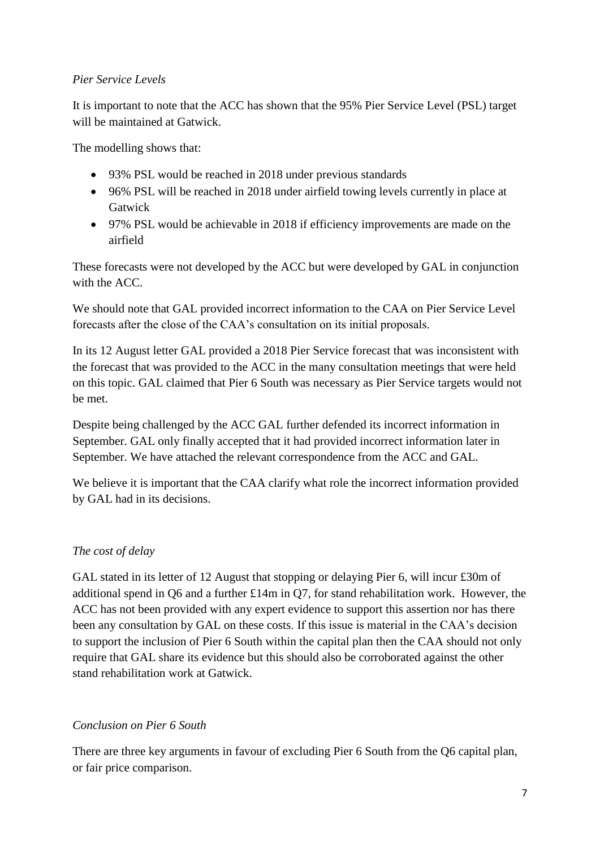### *Pier Service Levels*

It is important to note that the ACC has shown that the 95% Pier Service Level (PSL) target will be maintained at Gatwick.

The modelling shows that:

- 93% PSL would be reached in 2018 under previous standards
- 96% PSL will be reached in 2018 under airfield towing levels currently in place at Gatwick
- 97% PSL would be achievable in 2018 if efficiency improvements are made on the airfield

These forecasts were not developed by the ACC but were developed by GAL in conjunction with the ACC.

We should note that GAL provided incorrect information to the CAA on Pier Service Level forecasts after the close of the CAA's consultation on its initial proposals.

In its 12 August letter GAL provided a 2018 Pier Service forecast that was inconsistent with the forecast that was provided to the ACC in the many consultation meetings that were held on this topic. GAL claimed that Pier 6 South was necessary as Pier Service targets would not be met.

Despite being challenged by the ACC GAL further defended its incorrect information in September. GAL only finally accepted that it had provided incorrect information later in September. We have attached the relevant correspondence from the ACC and GAL.

We believe it is important that the CAA clarify what role the incorrect information provided by GAL had in its decisions.

### *The cost of delay*

GAL stated in its letter of 12 August that stopping or delaying Pier 6, will incur £30m of additional spend in Q6 and a further £14m in Q7, for stand rehabilitation work. However, the ACC has not been provided with any expert evidence to support this assertion nor has there been any consultation by GAL on these costs. If this issue is material in the CAA's decision to support the inclusion of Pier 6 South within the capital plan then the CAA should not only require that GAL share its evidence but this should also be corroborated against the other stand rehabilitation work at Gatwick.

### *Conclusion on Pier 6 South*

There are three key arguments in favour of excluding Pier 6 South from the Q6 capital plan, or fair price comparison.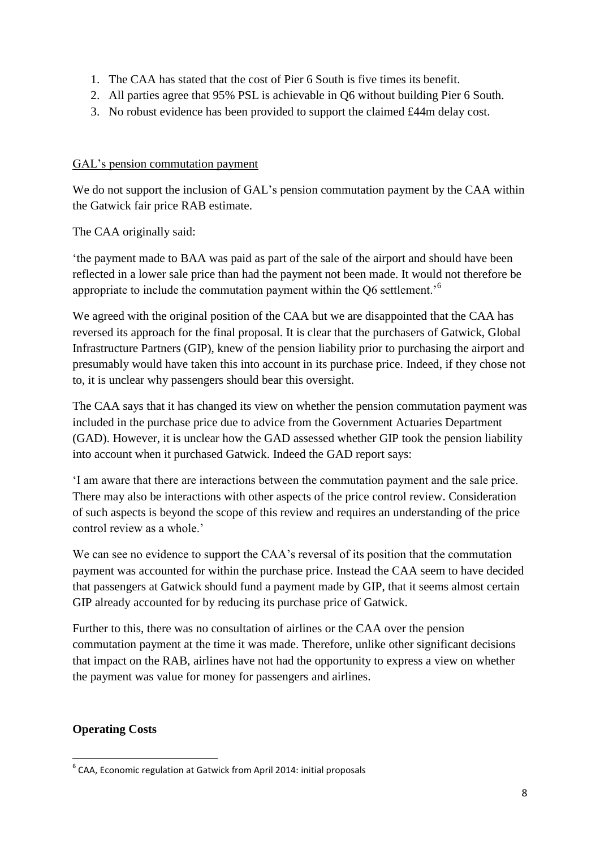- 1. The CAA has stated that the cost of Pier 6 South is five times its benefit.
- 2. All parties agree that 95% PSL is achievable in Q6 without building Pier 6 South.
- 3. No robust evidence has been provided to support the claimed £44m delay cost.

### GAL's pension commutation payment

We do not support the inclusion of GAL's pension commutation payment by the CAA within the Gatwick fair price RAB estimate.

The CAA originally said:

'the payment made to BAA was paid as part of the sale of the airport and should have been reflected in a lower sale price than had the payment not been made. It would not therefore be appropriate to include the commutation payment within the Q6 settlement.'<sup>6</sup>

We agreed with the original position of the CAA but we are disappointed that the CAA has reversed its approach for the final proposal. It is clear that the purchasers of Gatwick, Global Infrastructure Partners (GIP), knew of the pension liability prior to purchasing the airport and presumably would have taken this into account in its purchase price. Indeed, if they chose not to, it is unclear why passengers should bear this oversight.

The CAA says that it has changed its view on whether the pension commutation payment was included in the purchase price due to advice from the Government Actuaries Department (GAD). However, it is unclear how the GAD assessed whether GIP took the pension liability into account when it purchased Gatwick. Indeed the GAD report says:

'I am aware that there are interactions between the commutation payment and the sale price. There may also be interactions with other aspects of the price control review. Consideration of such aspects is beyond the scope of this review and requires an understanding of the price control review as a whole.'

We can see no evidence to support the CAA's reversal of its position that the commutation payment was accounted for within the purchase price. Instead the CAA seem to have decided that passengers at Gatwick should fund a payment made by GIP, that it seems almost certain GIP already accounted for by reducing its purchase price of Gatwick.

Further to this, there was no consultation of airlines or the CAA over the pension commutation payment at the time it was made. Therefore, unlike other significant decisions that impact on the RAB, airlines have not had the opportunity to express a view on whether the payment was value for money for passengers and airlines.

### **Operating Costs**

**<sup>.</sup>**  $^6$  CAA, Economic regulation at Gatwick from April 2014: initial proposals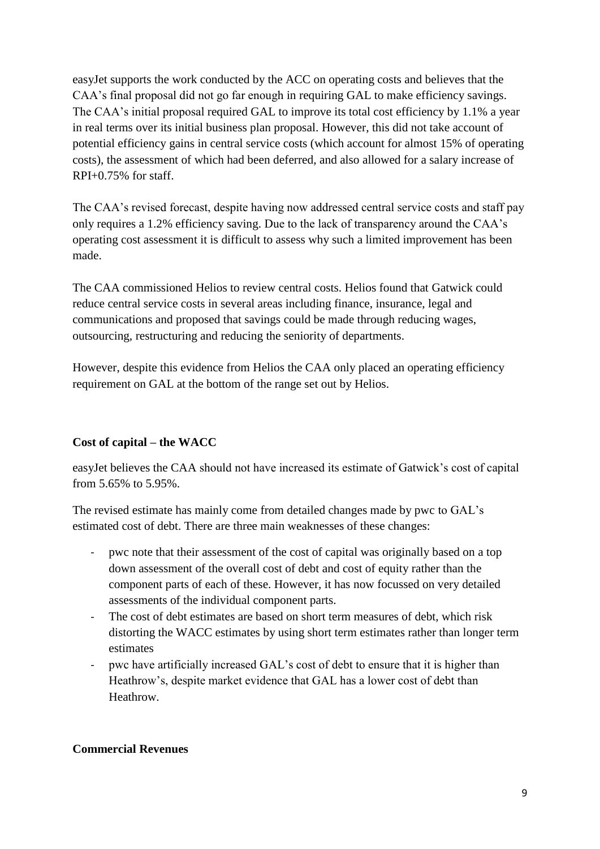easyJet supports the work conducted by the ACC on operating costs and believes that the CAA's final proposal did not go far enough in requiring GAL to make efficiency savings. The CAA's initial proposal required GAL to improve its total cost efficiency by 1.1% a year in real terms over its initial business plan proposal. However, this did not take account of potential efficiency gains in central service costs (which account for almost 15% of operating costs), the assessment of which had been deferred, and also allowed for a salary increase of RPI+0.75% for staff.

The CAA's revised forecast, despite having now addressed central service costs and staff pay only requires a 1.2% efficiency saving. Due to the lack of transparency around the CAA's operating cost assessment it is difficult to assess why such a limited improvement has been made.

The CAA commissioned Helios to review central costs. Helios found that Gatwick could reduce central service costs in several areas including finance, insurance, legal and communications and proposed that savings could be made through reducing wages, outsourcing, restructuring and reducing the seniority of departments.

However, despite this evidence from Helios the CAA only placed an operating efficiency requirement on GAL at the bottom of the range set out by Helios.

### **Cost of capital – the WACC**

easyJet believes the CAA should not have increased its estimate of Gatwick's cost of capital from 5.65% to 5.95%.

The revised estimate has mainly come from detailed changes made by pwc to GAL's estimated cost of debt. There are three main weaknesses of these changes:

- pwc note that their assessment of the cost of capital was originally based on a top down assessment of the overall cost of debt and cost of equity rather than the component parts of each of these. However, it has now focussed on very detailed assessments of the individual component parts.
- The cost of debt estimates are based on short term measures of debt, which risk distorting the WACC estimates by using short term estimates rather than longer term estimates
- pwc have artificially increased GAL's cost of debt to ensure that it is higher than Heathrow's, despite market evidence that GAL has a lower cost of debt than Heathrow.

### **Commercial Revenues**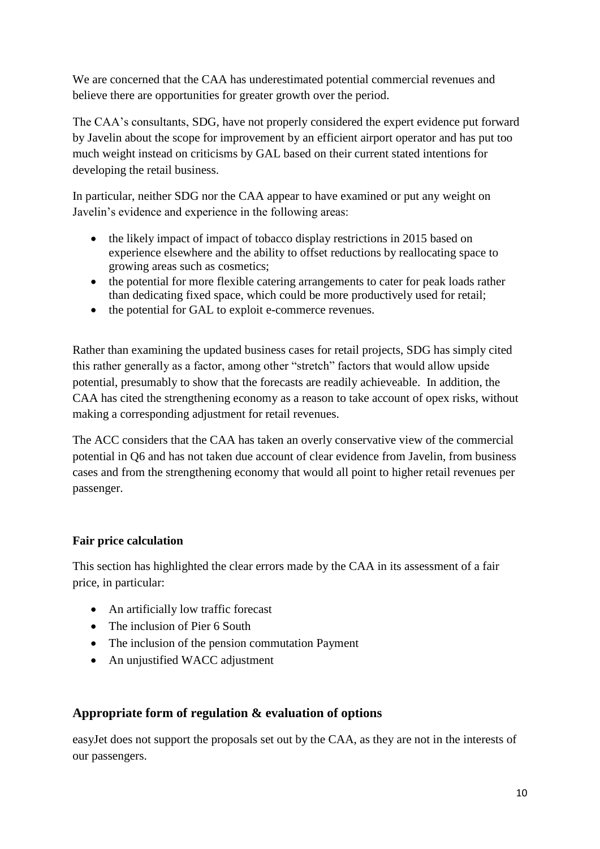We are concerned that the CAA has underestimated potential commercial revenues and believe there are opportunities for greater growth over the period.

The CAA's consultants, SDG, have not properly considered the expert evidence put forward by Javelin about the scope for improvement by an efficient airport operator and has put too much weight instead on criticisms by GAL based on their current stated intentions for developing the retail business.

In particular, neither SDG nor the CAA appear to have examined or put any weight on Javelin's evidence and experience in the following areas:

- the likely impact of impact of tobacco display restrictions in 2015 based on experience elsewhere and the ability to offset reductions by reallocating space to growing areas such as cosmetics;
- the potential for more flexible catering arrangements to cater for peak loads rather than dedicating fixed space, which could be more productively used for retail;
- the potential for GAL to exploit e-commerce revenues.

Rather than examining the updated business cases for retail projects, SDG has simply cited this rather generally as a factor, among other "stretch" factors that would allow upside potential, presumably to show that the forecasts are readily achieveable. In addition, the CAA has cited the strengthening economy as a reason to take account of opex risks, without making a corresponding adjustment for retail revenues.

The ACC considers that the CAA has taken an overly conservative view of the commercial potential in Q6 and has not taken due account of clear evidence from Javelin, from business cases and from the strengthening economy that would all point to higher retail revenues per passenger.

### **Fair price calculation**

This section has highlighted the clear errors made by the CAA in its assessment of a fair price, in particular:

- An artificially low traffic forecast
- The inclusion of Pier 6 South
- The inclusion of the pension commutation Payment
- An uniustified WACC adjustment

### **Appropriate form of regulation & evaluation of options**

easyJet does not support the proposals set out by the CAA, as they are not in the interests of our passengers.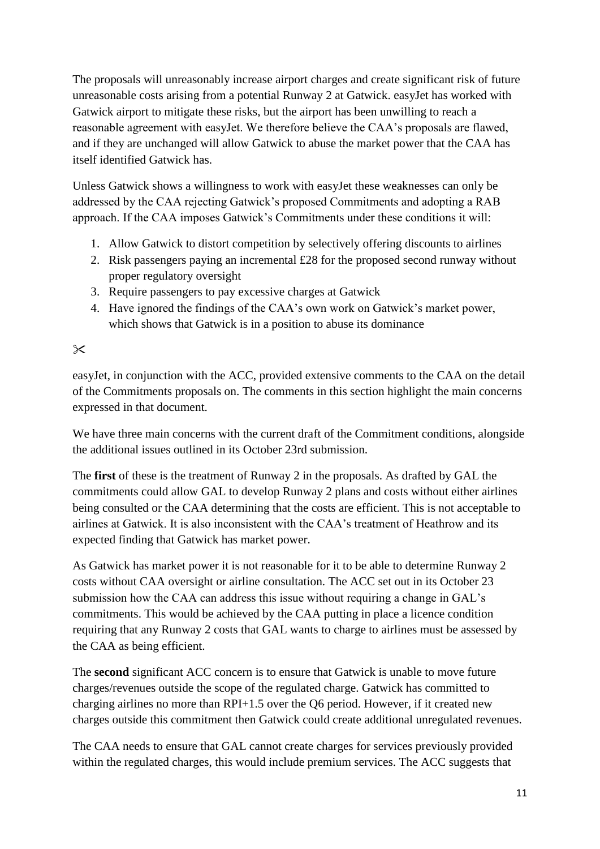The proposals will unreasonably increase airport charges and create significant risk of future unreasonable costs arising from a potential Runway 2 at Gatwick. easyJet has worked with Gatwick airport to mitigate these risks, but the airport has been unwilling to reach a reasonable agreement with easyJet. We therefore believe the CAA's proposals are flawed, and if they are unchanged will allow Gatwick to abuse the market power that the CAA has itself identified Gatwick has.

Unless Gatwick shows a willingness to work with easyJet these weaknesses can only be addressed by the CAA rejecting Gatwick's proposed Commitments and adopting a RAB approach. If the CAA imposes Gatwick's Commitments under these conditions it will:

- 1. Allow Gatwick to distort competition by selectively offering discounts to airlines
- 2. Risk passengers paying an incremental £28 for the proposed second runway without proper regulatory oversight
- 3. Require passengers to pay excessive charges at Gatwick
- 4. Have ignored the findings of the CAA's own work on Gatwick's market power, which shows that Gatwick is in a position to abuse its dominance

### $\times$

easyJet, in conjunction with the ACC, provided extensive comments to the CAA on the detail of the Commitments proposals on. The comments in this section highlight the main concerns expressed in that document.

We have three main concerns with the current draft of the Commitment conditions, alongside the additional issues outlined in its October 23rd submission.

The **first** of these is the treatment of Runway 2 in the proposals. As drafted by GAL the commitments could allow GAL to develop Runway 2 plans and costs without either airlines being consulted or the CAA determining that the costs are efficient. This is not acceptable to airlines at Gatwick. It is also inconsistent with the CAA's treatment of Heathrow and its expected finding that Gatwick has market power.

As Gatwick has market power it is not reasonable for it to be able to determine Runway 2 costs without CAA oversight or airline consultation. The ACC set out in its October 23 submission how the CAA can address this issue without requiring a change in GAL's commitments. This would be achieved by the CAA putting in place a licence condition requiring that any Runway 2 costs that GAL wants to charge to airlines must be assessed by the CAA as being efficient.

The **second** significant ACC concern is to ensure that Gatwick is unable to move future charges/revenues outside the scope of the regulated charge. Gatwick has committed to charging airlines no more than RPI+1.5 over the Q6 period. However, if it created new charges outside this commitment then Gatwick could create additional unregulated revenues.

The CAA needs to ensure that GAL cannot create charges for services previously provided within the regulated charges, this would include premium services. The ACC suggests that